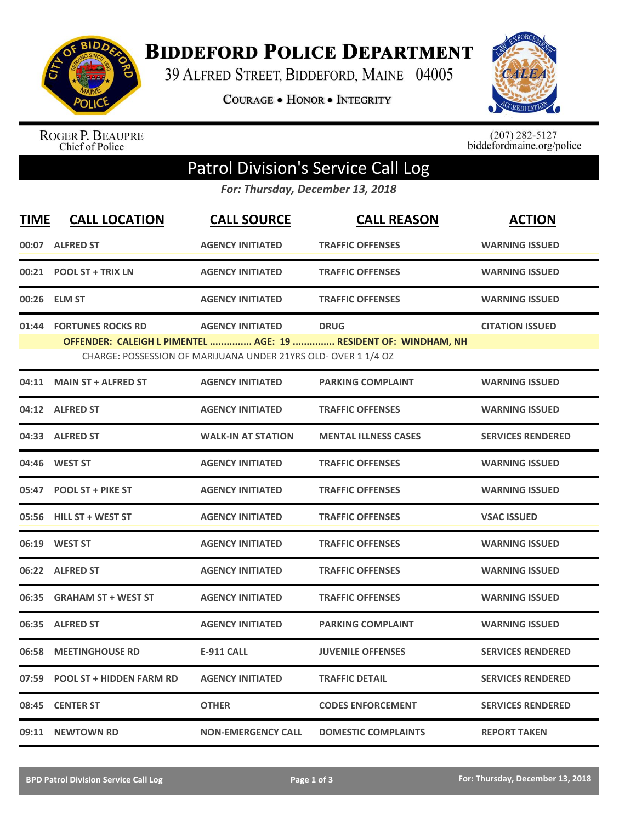

**BIDDEFORD POLICE DEPARTMENT** 

39 ALFRED STREET, BIDDEFORD, MAINE 04005

**COURAGE . HONOR . INTEGRITY** 



ROGER P. BEAUPRE<br>Chief of Police

 $(207)$  282-5127<br>biddefordmaine.org/police

## Patrol Division's Service Call Log

*For: Thursday, December 13, 2018*

| <b>TIME</b>                                                    | <b>CALL LOCATION</b>            | <b>CALL SOURCE</b>        | <b>CALL REASON</b>                                                             | <b>ACTION</b>            |  |  |  |
|----------------------------------------------------------------|---------------------------------|---------------------------|--------------------------------------------------------------------------------|--------------------------|--|--|--|
|                                                                | 00:07 ALFRED ST                 | <b>AGENCY INITIATED</b>   | <b>TRAFFIC OFFENSES</b>                                                        | <b>WARNING ISSUED</b>    |  |  |  |
|                                                                | 00:21 POOL ST + TRIX LN         | <b>AGENCY INITIATED</b>   | <b>TRAFFIC OFFENSES</b>                                                        | <b>WARNING ISSUED</b>    |  |  |  |
|                                                                | 00:26 ELM ST                    | <b>AGENCY INITIATED</b>   | <b>TRAFFIC OFFENSES</b>                                                        | <b>WARNING ISSUED</b>    |  |  |  |
|                                                                | 01:44 FORTUNES ROCKS RD         | <b>AGENCY INITIATED</b>   | <b>DRUG</b><br>OFFENDER: CALEIGH L PIMENTEL  AGE: 19  RESIDENT OF: WINDHAM, NH | <b>CITATION ISSUED</b>   |  |  |  |
| CHARGE: POSSESSION OF MARIJUANA UNDER 21YRS OLD- OVER 1 1/4 OZ |                                 |                           |                                                                                |                          |  |  |  |
| 04:11                                                          | <b>MAIN ST + ALFRED ST</b>      | <b>AGENCY INITIATED</b>   | <b>PARKING COMPLAINT</b>                                                       | <b>WARNING ISSUED</b>    |  |  |  |
|                                                                | 04:12 ALFRED ST                 | <b>AGENCY INITIATED</b>   | <b>TRAFFIC OFFENSES</b>                                                        | <b>WARNING ISSUED</b>    |  |  |  |
|                                                                | 04:33 ALFRED ST                 | <b>WALK-IN AT STATION</b> | <b>MENTAL ILLNESS CASES</b>                                                    | <b>SERVICES RENDERED</b> |  |  |  |
|                                                                | 04:46 WEST ST                   | <b>AGENCY INITIATED</b>   | <b>TRAFFIC OFFENSES</b>                                                        | <b>WARNING ISSUED</b>    |  |  |  |
| 05:47                                                          | <b>POOL ST + PIKE ST</b>        | <b>AGENCY INITIATED</b>   | <b>TRAFFIC OFFENSES</b>                                                        | <b>WARNING ISSUED</b>    |  |  |  |
|                                                                | 05:56 HILL ST + WEST ST         | <b>AGENCY INITIATED</b>   | <b>TRAFFIC OFFENSES</b>                                                        | <b>VSAC ISSUED</b>       |  |  |  |
|                                                                | 06:19 WEST ST                   | <b>AGENCY INITIATED</b>   | <b>TRAFFIC OFFENSES</b>                                                        | <b>WARNING ISSUED</b>    |  |  |  |
|                                                                | 06:22 ALFRED ST                 | <b>AGENCY INITIATED</b>   | <b>TRAFFIC OFFENSES</b>                                                        | <b>WARNING ISSUED</b>    |  |  |  |
|                                                                | 06:35 GRAHAM ST + WEST ST       | <b>AGENCY INITIATED</b>   | <b>TRAFFIC OFFENSES</b>                                                        | <b>WARNING ISSUED</b>    |  |  |  |
|                                                                | 06:35 ALFRED ST                 | <b>AGENCY INITIATED</b>   | <b>PARKING COMPLAINT</b>                                                       | <b>WARNING ISSUED</b>    |  |  |  |
| 06:58                                                          | <b>MEETINGHOUSE RD</b>          | <b>E-911 CALL</b>         | <b>JUVENILE OFFENSES</b>                                                       | <b>SERVICES RENDERED</b> |  |  |  |
| 07:59                                                          | <b>POOL ST + HIDDEN FARM RD</b> | <b>AGENCY INITIATED</b>   | <b>TRAFFIC DETAIL</b>                                                          | <b>SERVICES RENDERED</b> |  |  |  |
| 08:45                                                          | <b>CENTER ST</b>                | <b>OTHER</b>              | <b>CODES ENFORCEMENT</b>                                                       | <b>SERVICES RENDERED</b> |  |  |  |
|                                                                | 09:11 NEWTOWN RD                | <b>NON-EMERGENCY CALL</b> | <b>DOMESTIC COMPLAINTS</b>                                                     | <b>REPORT TAKEN</b>      |  |  |  |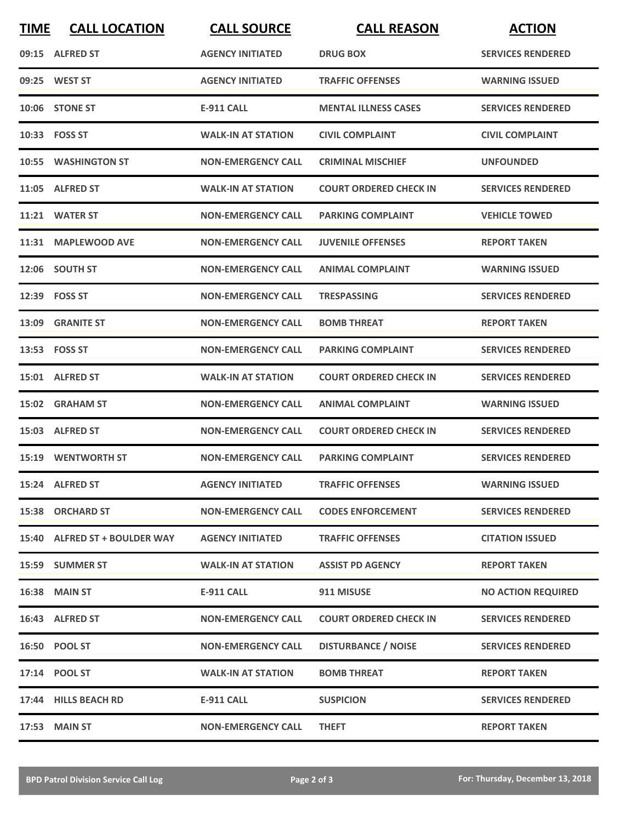| <b>TIME</b> | <b>CALL LOCATION</b>          | <b>CALL SOURCE</b>        | <b>CALL REASON</b>            | <b>ACTION</b>             |
|-------------|-------------------------------|---------------------------|-------------------------------|---------------------------|
|             | 09:15 ALFRED ST               | <b>AGENCY INITIATED</b>   | <b>DRUG BOX</b>               | <b>SERVICES RENDERED</b>  |
|             | 09:25 WEST ST                 | <b>AGENCY INITIATED</b>   | <b>TRAFFIC OFFENSES</b>       | <b>WARNING ISSUED</b>     |
|             | 10:06 STONE ST                | <b>E-911 CALL</b>         | <b>MENTAL ILLNESS CASES</b>   | <b>SERVICES RENDERED</b>  |
|             | 10:33 FOSS ST                 | <b>WALK-IN AT STATION</b> | <b>CIVIL COMPLAINT</b>        | <b>CIVIL COMPLAINT</b>    |
|             | 10:55 WASHINGTON ST           | <b>NON-EMERGENCY CALL</b> | <b>CRIMINAL MISCHIEF</b>      | <b>UNFOUNDED</b>          |
|             | 11:05 ALFRED ST               | <b>WALK-IN AT STATION</b> | <b>COURT ORDERED CHECK IN</b> | <b>SERVICES RENDERED</b>  |
|             | 11:21 WATER ST                | <b>NON-EMERGENCY CALL</b> | <b>PARKING COMPLAINT</b>      | <b>VEHICLE TOWED</b>      |
|             | 11:31 MAPLEWOOD AVE           | <b>NON-EMERGENCY CALL</b> | <b>JUVENILE OFFENSES</b>      | <b>REPORT TAKEN</b>       |
|             | 12:06 SOUTH ST                | <b>NON-EMERGENCY CALL</b> | <b>ANIMAL COMPLAINT</b>       | <b>WARNING ISSUED</b>     |
|             | 12:39 FOSS ST                 | <b>NON-EMERGENCY CALL</b> | <b>TRESPASSING</b>            | <b>SERVICES RENDERED</b>  |
|             | 13:09 GRANITE ST              | <b>NON-EMERGENCY CALL</b> | <b>BOMB THREAT</b>            | <b>REPORT TAKEN</b>       |
|             | 13:53 FOSS ST                 | <b>NON-EMERGENCY CALL</b> | <b>PARKING COMPLAINT</b>      | <b>SERVICES RENDERED</b>  |
|             | 15:01 ALFRED ST               | <b>WALK-IN AT STATION</b> | <b>COURT ORDERED CHECK IN</b> | <b>SERVICES RENDERED</b>  |
|             | 15:02 GRAHAM ST               | <b>NON-EMERGENCY CALL</b> | <b>ANIMAL COMPLAINT</b>       | <b>WARNING ISSUED</b>     |
|             | 15:03 ALFRED ST               | <b>NON-EMERGENCY CALL</b> | <b>COURT ORDERED CHECK IN</b> | <b>SERVICES RENDERED</b>  |
|             | <b>15:19 WENTWORTH ST</b>     | <b>NON-EMERGENCY CALL</b> | <b>PARKING COMPLAINT</b>      | <b>SERVICES RENDERED</b>  |
|             | 15:24 ALFRED ST               | <b>AGENCY INITIATED</b>   | <b>TRAFFIC OFFENSES</b>       | <b>WARNING ISSUED</b>     |
|             | 15:38 ORCHARD ST              | <b>NON-EMERGENCY CALL</b> | <b>CODES ENFORCEMENT</b>      | <b>SERVICES RENDERED</b>  |
|             | 15:40 ALFRED ST + BOULDER WAY | <b>AGENCY INITIATED</b>   | <b>TRAFFIC OFFENSES</b>       | <b>CITATION ISSUED</b>    |
|             | 15:59 SUMMER ST               | <b>WALK-IN AT STATION</b> | <b>ASSIST PD AGENCY</b>       | <b>REPORT TAKEN</b>       |
|             | <b>16:38 MAIN ST</b>          | E-911 CALL                | 911 MISUSE                    | <b>NO ACTION REQUIRED</b> |
|             | 16:43 ALFRED ST               | <b>NON-EMERGENCY CALL</b> | <b>COURT ORDERED CHECK IN</b> | <b>SERVICES RENDERED</b>  |
|             | 16:50 POOL ST                 | <b>NON-EMERGENCY CALL</b> | <b>DISTURBANCE / NOISE</b>    | <b>SERVICES RENDERED</b>  |
|             | 17:14 POOL ST                 | <b>WALK-IN AT STATION</b> | <b>BOMB THREAT</b>            | <b>REPORT TAKEN</b>       |
|             | 17:44 HILLS BEACH RD          | E-911 CALL                | <b>SUSPICION</b>              | <b>SERVICES RENDERED</b>  |
|             | 17:53 MAIN ST                 | <b>NON-EMERGENCY CALL</b> | <b>THEFT</b>                  | <b>REPORT TAKEN</b>       |